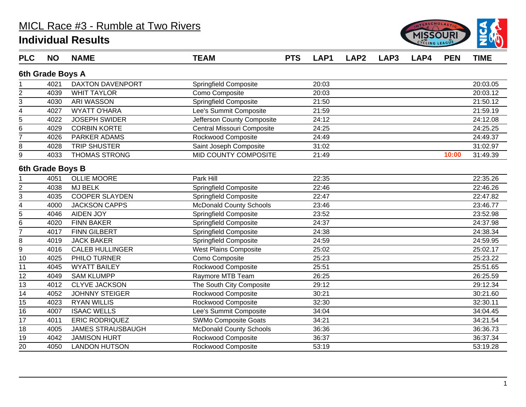

| <b>PLC</b>     | <b>NO</b>        | <b>NAME</b>              | <b>TEAM</b>                    | <b>PTS</b> | LAP1  | LAP <sub>2</sub> | LAP3 | LAP4 | <b>PEN</b> | <b>TIME</b> |
|----------------|------------------|--------------------------|--------------------------------|------------|-------|------------------|------|------|------------|-------------|
|                | 6th Grade Boys A |                          |                                |            |       |                  |      |      |            |             |
|                | 4021             | <b>DAXTON DAVENPORT</b>  | Springfield Composite          |            | 20:03 |                  |      |      |            | 20:03.05    |
| $\overline{c}$ | 4039             | <b>WHIT TAYLOR</b>       | Como Composite                 |            | 20:03 |                  |      |      |            | 20:03.12    |
| 3              | 4030             | <b>ARI WASSON</b>        | <b>Springfield Composite</b>   |            | 21:50 |                  |      |      |            | 21:50.12    |
| 4              | 4027             | <b>WYATT O'HARA</b>      | Lee's Summit Composite         |            | 21:59 |                  |      |      |            | 21:59.19    |
| $\overline{5}$ | 4022             | <b>JOSEPH SWIDER</b>     | Jefferson County Composite     |            | 24:12 |                  |      |      |            | 24:12.08    |
| 6              | 4029             | <b>CORBIN KORTE</b>      | Central Missouri Composite     |            | 24:25 |                  |      |      |            | 24:25.25    |
| $\overline{7}$ | 4026             | PARKER ADAMS             | Rockwood Composite             |            | 24:49 |                  |      |      |            | 24:49.37    |
| 8              | 4028             | <b>TRIP SHUSTER</b>      | Saint Joseph Composite         |            | 31:02 |                  |      |      |            | 31:02.97    |
| 9              | 4033             | <b>THOMAS STRONG</b>     | <b>MID COUNTY COMPOSITE</b>    |            | 21:49 |                  |      |      | 10:00      | 31:49.39    |
|                | 6th Grade Boys B |                          |                                |            |       |                  |      |      |            |             |
|                | 4051             | <b>OLLIE MOORE</b>       | Park Hill                      |            | 22:35 |                  |      |      |            | 22:35.26    |
| $\overline{2}$ | 4038             | <b>MJ BELK</b>           | <b>Springfield Composite</b>   |            | 22:46 |                  |      |      |            | 22:46.26    |
| $\overline{3}$ | 4035             | <b>COOPER SLAYDEN</b>    | <b>Springfield Composite</b>   |            | 22:47 |                  |      |      |            | 22:47.82    |
| 4              | 4000             | <b>JACKSON CAPPS</b>     | <b>McDonald County Schools</b> |            | 23:46 |                  |      |      |            | 23:46.77    |
| 5              | 4046             | <b>AIDEN JOY</b>         | Springfield Composite          |            | 23:52 |                  |      |      |            | 23:52.98    |
| 6              | 4020             | <b>FINN BAKER</b>        | <b>Springfield Composite</b>   |            | 24:37 |                  |      |      |            | 24:37.98    |
| $\overline{7}$ | 4017             | <b>FINN GILBERT</b>      | <b>Springfield Composite</b>   |            | 24:38 |                  |      |      |            | 24:38.34    |
| 8              | 4019             | <b>JACK BAKER</b>        | <b>Springfield Composite</b>   |            | 24:59 |                  |      |      |            | 24:59.95    |
| $\overline{9}$ | 4016             | <b>CALEB HULLINGER</b>   | <b>West Plains Composite</b>   |            | 25:02 |                  |      |      |            | 25:02.17    |
| 10             | 4025             | PHILO TURNER             | Como Composite                 |            | 25:23 |                  |      |      |            | 25:23.22    |
| 11             | 4045             | <b>WYATT BAILEY</b>      | Rockwood Composite             |            | 25:51 |                  |      |      |            | 25:51.65    |
| 12             | 4049             | <b>SAM KLUMPP</b>        | Raymore MTB Team               |            | 26:25 |                  |      |      |            | 26:25.59    |
| 13             | 4012             | <b>CLYVE JACKSON</b>     | The South City Composite       |            | 29:12 |                  |      |      |            | 29:12.34    |
| 14             | 4052             | <b>JOHNNY STEIGER</b>    | Rockwood Composite             |            | 30:21 |                  |      |      |            | 30:21.60    |
| 15             | 4023             | <b>RYAN WILLIS</b>       | Rockwood Composite             |            | 32:30 |                  |      |      |            | 32:30.11    |
| 16             | 4007             | <b>ISAAC WELLS</b>       | Lee's Summit Composite         |            | 34:04 |                  |      |      |            | 34:04.45    |
| 17             | 4011             | <b>ERIC RODRIQUEZ</b>    | <b>SWMo Composite Goats</b>    |            | 34:21 |                  |      |      |            | 34:21.54    |
| 18             | 4005             | <b>JAMES STRAUSBAUGH</b> | <b>McDonald County Schools</b> |            | 36:36 |                  |      |      |            | 36:36.73    |
| 19             | 4042             | <b>JAMISON HURT</b>      | Rockwood Composite             |            | 36:37 |                  |      |      |            | 36:37.34    |
| 20             | 4050             | <b>LANDON HUTSON</b>     | Rockwood Composite             |            | 53:19 |                  |      |      |            | 53:19.28    |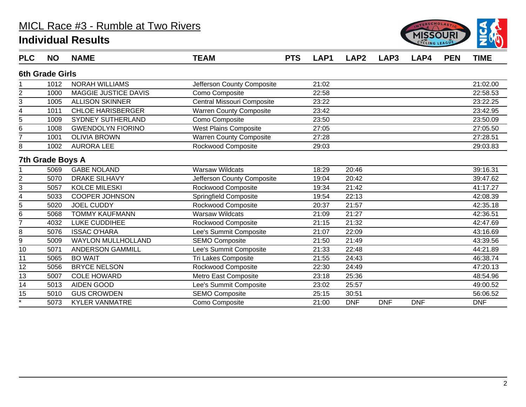

| <b>PLC</b>     | <b>NO</b>              | <b>NAME</b>               | <b>TEAM</b>                    | <b>PTS</b> | LAP1  | LAP <sub>2</sub> | LAP <sub>3</sub> | LAP4       | <b>PEN</b> | <b>TIME</b> |
|----------------|------------------------|---------------------------|--------------------------------|------------|-------|------------------|------------------|------------|------------|-------------|
|                | <b>6th Grade Girls</b> |                           |                                |            |       |                  |                  |            |            |             |
|                | 1012                   | <b>NORAH WILLIAMS</b>     | Jefferson County Composite     |            | 21:02 |                  |                  |            |            | 21:02.00    |
| 2              | 1000                   | MAGGIE JUSTICE DAVIS      | Como Composite                 |            | 22:58 |                  |                  |            |            | 22:58.53    |
| 3              | 1005                   | <b>ALLISON SKINNER</b>    | Central Missouri Composite     |            | 23:22 |                  |                  |            |            | 23:22.25    |
| 4              | 1011                   | <b>CHLOE HARISBERGER</b>  | <b>Warren County Composite</b> |            | 23:42 |                  |                  |            |            | 23:42.95    |
| 5              | 1009                   | <b>SYDNEY SUTHERLAND</b>  | Como Composite                 |            | 23:50 |                  |                  |            |            | 23:50.09    |
| 6              | 1008                   | <b>GWENDOLYN FIORINO</b>  | West Plains Composite          |            | 27:05 |                  |                  |            |            | 27:05.50    |
| $\overline{7}$ | 1001                   | <b>OLIVIA BROWN</b>       | <b>Warren County Composite</b> |            | 27:28 |                  |                  |            |            | 27:28.51    |
| 8              | 1002                   | <b>AURORA LEE</b>         | Rockwood Composite             |            | 29:03 |                  |                  |            |            | 29:03.83    |
|                | 7th Grade Boys A       |                           |                                |            |       |                  |                  |            |            |             |
|                | 5069                   | <b>GABE NOLAND</b>        | <b>Warsaw Wildcats</b>         |            | 18:29 | 20:46            |                  |            |            | 39:16.31    |
| $\overline{c}$ | 5070                   | <b>DRAKE SILHAVY</b>      | Jefferson County Composite     |            | 19:04 | 20:42            |                  |            |            | 39:47.62    |
| 3              | 5057                   | <b>KOLCE MILESKI</b>      | Rockwood Composite             |            | 19:34 | 21:42            |                  |            |            | 41:17.27    |
| 4              | 5033                   | <b>COOPER JOHNSON</b>     | <b>Springfield Composite</b>   |            | 19:54 | 22:13            |                  |            |            | 42:08.39    |
| 5              | 5020                   | <b>JOEL CUDDY</b>         | Rockwood Composite             |            | 20:37 | 21:57            |                  |            |            | 42:35.18    |
| 6              | 5068                   | <b>TOMMY KAUFMANN</b>     | <b>Warsaw Wildcats</b>         |            | 21:09 | 21:27            |                  |            |            | 42:36.51    |
| $\overline{7}$ | 4032                   | LUKE CUDDIHEE             | Rockwood Composite             |            | 21:15 | 21:32            |                  |            |            | 42:47.69    |
| 8              | 5076                   | <b>ISSAC O'HARA</b>       | Lee's Summit Composite         |            | 21:07 | 22:09            |                  |            |            | 43:16.69    |
| 9              | 5009                   | <b>WAYLON MULLHOLLAND</b> | <b>SEMO Composite</b>          |            | 21:50 | 21:49            |                  |            |            | 43:39.56    |
| 10             | 5071                   | <b>ANDERSON GAMMILL</b>   | Lee's Summit Composite         |            | 21:33 | 22:48            |                  |            |            | 44:21.89    |
| 11             | 5065                   | <b>BO WAIT</b>            | Tri Lakes Composite            |            | 21:55 | 24:43            |                  |            |            | 46:38.74    |
| 12             | 5056                   | <b>BRYCE NELSON</b>       | Rockwood Composite             |            | 22:30 | 24:49            |                  |            |            | 47:20.13    |
| 13             | 5007                   | <b>COLE HOWARD</b>        | Metro East Composite           |            | 23:18 | 25:36            |                  |            |            | 48:54.96    |
| 14             | 5013                   | <b>AIDEN GOOD</b>         | Lee's Summit Composite         |            | 23:02 | 25:57            |                  |            |            | 49:00.52    |
| 15             | 5010                   | <b>GUS CROWDEN</b>        | <b>SEMO Composite</b>          |            | 25:15 | 30:51            |                  |            |            | 56:06.52    |
| $\star$        | 5073                   | <b>KYLER VANMATRE</b>     | Como Composite                 |            | 21:00 | <b>DNF</b>       | <b>DNF</b>       | <b>DNF</b> |            | <b>DNF</b>  |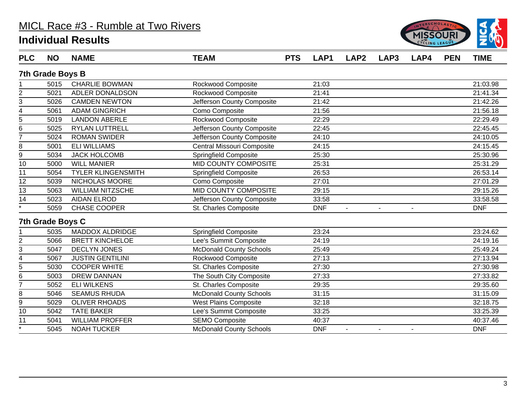

| <b>PLC</b>         | <b>NO</b>               | <b>NAME</b>               | <b>TEAM</b>                    | <b>PTS</b> | LAP1       | LAP <sub>2</sub> | LAP <sub>3</sub> | LAP4           | <b>PEN</b> | <b>TIME</b> |
|--------------------|-------------------------|---------------------------|--------------------------------|------------|------------|------------------|------------------|----------------|------------|-------------|
|                    | <b>7th Grade Boys B</b> |                           |                                |            |            |                  |                  |                |            |             |
|                    | 5015                    | <b>CHARLIE BOWMAN</b>     | Rockwood Composite             |            | 21:03      |                  |                  |                |            | 21:03.98    |
| $\overline{2}$     | 5021                    | ADLER DONALDSON           | Rockwood Composite             |            | 21:41      |                  |                  |                |            | 21:41.34    |
| 3                  | 5026                    | <b>CAMDEN NEWTON</b>      | Jefferson County Composite     |            | 21:42      |                  |                  |                |            | 21:42.26    |
| 4                  | 5061                    | <b>ADAM GINGRICH</b>      | Como Composite                 |            | 21:56      |                  |                  |                |            | 21:56.18    |
| $\overline{5}$     | 5019                    | <b>LANDON ABERLE</b>      | <b>Rockwood Composite</b>      |            | 22:29      |                  |                  |                |            | 22:29.49    |
| 6                  | 5025                    | <b>RYLAN LUTTRELL</b>     | Jefferson County Composite     |            | 22:45      |                  |                  |                |            | 22:45.45    |
| $\overline{7}$     | 5024                    | <b>ROMAN SWIDER</b>       | Jefferson County Composite     |            | 24:10      |                  |                  |                |            | 24:10.05    |
| 8                  | 5001                    | <b>ELI WILLIAMS</b>       | Central Missouri Composite     |            | 24:15      |                  |                  |                |            | 24:15.45    |
| 9                  | 5034                    | <b>JACK HOLCOMB</b>       | <b>Springfield Composite</b>   |            | 25:30      |                  |                  |                |            | 25:30.96    |
| 10                 | 5000                    | <b>WILL MANIER</b>        | MID COUNTY COMPOSITE           |            | 25:31      |                  |                  |                |            | 25:31.29    |
| 11                 | 5054                    | <b>TYLER KLINGENSMITH</b> | <b>Springfield Composite</b>   |            | 26:53      |                  |                  |                |            | 26:53.14    |
| 12                 | 5039                    | NICHOLAS MOORE            | Como Composite                 |            | 27:01      |                  |                  |                |            | 27:01.29    |
| $\overline{13}$    | 5063                    | <b>WILLIAM NITZSCHE</b>   | <b>MID COUNTY COMPOSITE</b>    |            | 29:15      |                  |                  |                |            | 29:15.26    |
| 14                 | 5023                    | <b>AIDAN ELROD</b>        | Jefferson County Composite     |            | 33:58      |                  |                  |                |            | 33:58.58    |
| $\overline{\cdot}$ | 5059                    | CHASE COOPER              | St. Charles Composite          |            | <b>DNF</b> | $\blacksquare$   | $\blacksquare$   | $\blacksquare$ |            | <b>DNF</b>  |
|                    | 7th Grade Boys C        |                           |                                |            |            |                  |                  |                |            |             |
|                    | 5035                    | <b>MADDOX ALDRIDGE</b>    | Springfield Composite          |            | 23:24      |                  |                  |                |            | 23:24.62    |
| $\overline{2}$     | 5066                    | <b>BRETT KINCHELOE</b>    | Lee's Summit Composite         |            | 24:19      |                  |                  |                |            | 24:19.16    |
| 3                  | 5047                    | <b>DECLYN JONES</b>       | <b>McDonald County Schools</b> |            | 25:49      |                  |                  |                |            | 25:49.24    |
| 4                  | 5067                    | <b>JUSTIN GENTILINI</b>   | Rockwood Composite             |            | 27:13      |                  |                  |                |            | 27:13.94    |
| $\overline{5}$     | 5030                    | <b>COOPER WHITE</b>       | St. Charles Composite          |            | 27:30      |                  |                  |                |            | 27:30.98    |
| 6                  | 5003                    | <b>DREW DANNAN</b>        | The South City Composite       |            | 27:33      |                  |                  |                |            | 27:33.82    |
| $\overline{7}$     | 5052                    | <b>ELI WILKENS</b>        | St. Charles Composite          |            | 29:35      |                  |                  |                |            | 29:35.60    |
| 8                  | 5046                    | <b>SEAMUS RHUDA</b>       | <b>McDonald County Schools</b> |            | 31:15      |                  |                  |                |            | 31:15.09    |
| 9                  | 5029                    | <b>OLIVER RHOADS</b>      | <b>West Plains Composite</b>   |            | 32:18      |                  |                  |                |            | 32:18.75    |
| 10                 | 5042                    | <b>TATE BAKER</b>         | Lee's Summit Composite         |            | 33:25      |                  |                  |                |            | 33:25.39    |
| 11                 | 5041                    | <b>WILLIAM PROFFER</b>    | <b>SEMO Composite</b>          |            | 40:37      |                  |                  |                |            | 40:37.46    |
| $\star$            | 5045                    | <b>NOAH TUCKER</b>        | <b>McDonald County Schools</b> |            | <b>DNF</b> | $\blacksquare$   | $\sim$           | $\blacksquare$ |            | <b>DNF</b>  |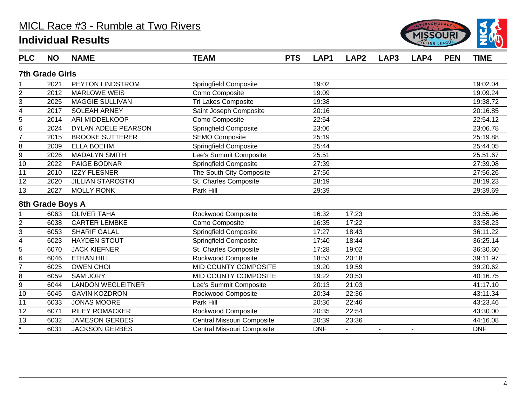

| <b>PLC</b>     | <b>NO</b>              | <b>NAME</b>              | <b>TEAM</b>                  | <b>PTS</b> | LAP1       | LAP <sub>2</sub> | LAP3           | LAP4           | <b>PEN</b> | <b>TIME</b> |
|----------------|------------------------|--------------------------|------------------------------|------------|------------|------------------|----------------|----------------|------------|-------------|
|                | <b>7th Grade Girls</b> |                          |                              |            |            |                  |                |                |            |             |
|                | 2021                   | PEYTON LINDSTROM         | Springfield Composite        |            | 19:02      |                  |                |                |            | 19:02.04    |
| 2              | 2012                   | <b>MARLOWE WEIS</b>      | Como Composite               |            | 19:09      |                  |                |                |            | 19:09.24    |
| 3              | 2025                   | <b>MAGGIE SULLIVAN</b>   | Tri Lakes Composite          |            | 19:38      |                  |                |                |            | 19:38.72    |
| 4              | 2017                   | <b>SOLEAH ARNEY</b>      | Saint Joseph Composite       |            | 20:16      |                  |                |                |            | 20:16.85    |
| 5              | 2014                   | ARI MIDDELKOOP           | Como Composite               |            | 22:54      |                  |                |                |            | 22:54.12    |
| 6              | 2024                   | DYLAN ADELE PEARSON      | <b>Springfield Composite</b> |            | 23:06      |                  |                |                |            | 23:06.78    |
| $\overline{7}$ | 2015                   | <b>BROOKE SUTTERER</b>   | <b>SEMO Composite</b>        |            | 25:19      |                  |                |                |            | 25:19.88    |
| 8              | 2009                   | <b>ELLA BOEHM</b>        | <b>Springfield Composite</b> |            | 25:44      |                  |                |                |            | 25:44.05    |
| $\overline{9}$ | 2026                   | <b>MADALYN SMITH</b>     | Lee's Summit Composite       |            | 25:51      |                  |                |                |            | 25:51.67    |
| 10             | 2022                   | PAIGE BODNAR             | <b>Springfield Composite</b> |            | 27:39      |                  |                |                |            | 27:39.08    |
| 11             | 2010                   | <b>IZZY FLESNER</b>      | The South City Composite     |            | 27:56      |                  |                |                |            | 27:56.26    |
| 12             | 2020                   | <b>JILLIAN STAROSTKI</b> | St. Charles Composite        |            | 28:19      |                  |                |                |            | 28:19.23    |
| 13             | 2027                   | <b>MOLLY RONK</b>        | Park Hill                    |            | 29:39      |                  |                |                |            | 29:39.69    |
|                | 8th Grade Boys A       |                          |                              |            |            |                  |                |                |            |             |
|                | 6063                   | <b>OLIVER TAHA</b>       | Rockwood Composite           |            | 16:32      | 17:23            |                |                |            | 33:55.96    |
| $\overline{c}$ | 6038                   | <b>CARTER LEMBKE</b>     | Como Composite               |            | 16:35      | 17:22            |                |                |            | 33:58.23    |
| 3              | 6053                   | <b>SHARIF GALAL</b>      | Springfield Composite        |            | 17:27      | 18:43            |                |                |            | 36:11.22    |
| 4              | 6023                   | <b>HAYDEN STOUT</b>      | <b>Springfield Composite</b> |            | 17:40      | 18:44            |                |                |            | 36:25.14    |
| $\overline{5}$ | 6070                   | <b>JACK KIEFNER</b>      | St. Charles Composite        |            | 17:28      | 19:02            |                |                |            | 36:30.60    |
| 6              | 6046                   | <b>ETHAN HILL</b>        | Rockwood Composite           |            | 18:53      | 20:18            |                |                |            | 39:11.97    |
| 7              | 6025                   | <b>OWEN CHOI</b>         | <b>MID COUNTY COMPOSITE</b>  |            | 19:20      | 19:59            |                |                |            | 39:20.62    |
| 8              | 6059                   | <b>SAM JORY</b>          | MID COUNTY COMPOSITE         |            | 19:22      | 20:53            |                |                |            | 40:16.75    |
| 9              | 6044                   | <b>LANDON WEGLEITNER</b> | Lee's Summit Composite       |            | 20:13      | 21:03            |                |                |            | 41:17.10    |
| 10             | 6045                   | <b>GAVIN KOZDRON</b>     | Rockwood Composite           |            | 20:34      | 22:36            |                |                |            | 43:11.34    |
| 11             | 6033                   | <b>JONAS MOORE</b>       | Park Hill                    |            | 20:36      | 22:46            |                |                |            | 43:23.46    |
| 12             | 6071                   | <b>RILEY ROMACKER</b>    | Rockwood Composite           |            | 20:35      | 22:54            |                |                |            | 43:30.00    |
| 13             | 6032                   | <b>JAMESON GERBES</b>    | Central Missouri Composite   |            | 20:39      | 23:36            |                |                |            | 44:16.08    |
| $\star$        | 6031                   | <b>JACKSON GERBES</b>    | Central Missouri Composite   |            | <b>DNF</b> |                  | $\blacksquare$ | $\blacksquare$ |            | <b>DNF</b>  |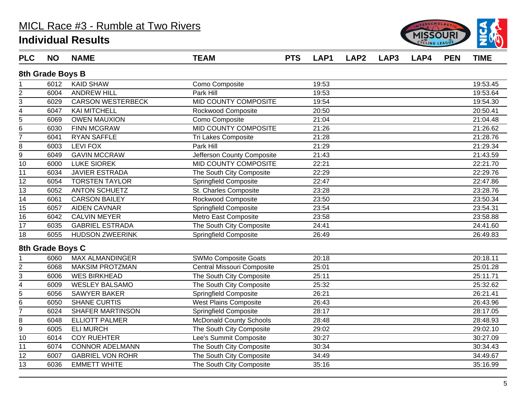

| <b>PLC</b>                | <b>NO</b>        | <b>NAME</b>              | <b>TEAM</b>                    | <b>PTS</b> | LAP1  | LAP <sub>2</sub> | LAP3 | LAP4 | <b>PEN</b> | <b>TIME</b> |
|---------------------------|------------------|--------------------------|--------------------------------|------------|-------|------------------|------|------|------------|-------------|
|                           | 8th Grade Boys B |                          |                                |            |       |                  |      |      |            |             |
|                           | 6012             | <b>KAID SHAW</b>         | Como Composite                 |            | 19:53 |                  |      |      |            | 19:53.45    |
| $\boldsymbol{2}$          | 6004             | <b>ANDREW HILL</b>       | Park Hill                      |            | 19:53 |                  |      |      |            | 19:53.64    |
| $\sqrt{3}$                | 6029             | <b>CARSON WESTERBECK</b> | <b>MID COUNTY COMPOSITE</b>    |            | 19:54 |                  |      |      |            | 19:54.30    |
| $\overline{4}$            | 6047             | <b>KAI MITCHELL</b>      | Rockwood Composite             |            | 20:50 |                  |      |      |            | 20:50.41    |
| 5                         | 6069             | <b>OWEN MAUXION</b>      | Como Composite                 |            | 21:04 |                  |      |      |            | 21:04.48    |
| $\,6$                     | 6030             | <b>FINN MCGRAW</b>       | MID COUNTY COMPOSITE           |            | 21:26 |                  |      |      |            | 21:26.62    |
| $\overline{7}$            | 6041             | <b>RYAN SAFFLE</b>       | Tri Lakes Composite            |            | 21:28 |                  |      |      |            | 21:28.76    |
| 8                         | 6003             | <b>LEVI FOX</b>          | Park Hill                      |            | 21:29 |                  |      |      |            | 21:29.34    |
| $\mathsf g$               | 6049             | <b>GAVIN MCCRAW</b>      | Jefferson County Composite     |            | 21:43 |                  |      |      |            | 21:43.59    |
| 10                        | 6000             | <b>LUKE SIOREK</b>       | MID COUNTY COMPOSITE           |            | 22:21 |                  |      |      |            | 22:21.70    |
| 11                        | 6034             | <b>JAVIER ESTRADA</b>    | The South City Composite       |            | 22:29 |                  |      |      |            | 22:29.76    |
| 12                        | 6054             | <b>TORSTEN TAYLOR</b>    | <b>Springfield Composite</b>   |            | 22:47 |                  |      |      |            | 22:47.86    |
| 13                        | 6052             | <b>ANTON SCHUETZ</b>     | St. Charles Composite          |            | 23:28 |                  |      |      |            | 23:28.76    |
| $\overline{14}$           | 6061             | <b>CARSON BAILEY</b>     | Rockwood Composite             |            | 23:50 |                  |      |      |            | 23:50.34    |
| $\overline{15}$           | 6057             | <b>AIDEN CAVNAR</b>      | Springfield Composite          |            | 23:54 |                  |      |      |            | 23:54.31    |
| 16                        | 6042             | <b>CALVIN MEYER</b>      | Metro East Composite           |            | 23:58 |                  |      |      |            | 23:58.88    |
| 17                        | 6035             | <b>GABRIEL ESTRADA</b>   | The South City Composite       |            | 24:41 |                  |      |      |            | 24:41.60    |
| 18                        | 6055             | <b>HUDSON ZWEERINK</b>   | <b>Springfield Composite</b>   |            | 26:49 |                  |      |      |            | 26:49.83    |
|                           | 8th Grade Boys C |                          |                                |            |       |                  |      |      |            |             |
|                           | 6060             | <b>MAX ALMANDINGER</b>   | SWMo Composite Goats           |            | 20:18 |                  |      |      |            | 20:18.11    |
| $\overline{2}$            | 6068             | <b>MAKSIM PROTZMAN</b>   | Central Missouri Composite     |            | 25:01 |                  |      |      |            | 25:01.28    |
| $\ensuremath{\mathsf{3}}$ | 6006             | <b>WES BIRKHEAD</b>      | The South City Composite       |            | 25:11 |                  |      |      |            | 25:11.71    |
| $\overline{4}$            | 6009             | <b>WESLEY BALSAMO</b>    | The South City Composite       |            | 25:32 |                  |      |      |            | 25:32.62    |
| $\overline{5}$            | 6056             | <b>SAWYER BAKER</b>      | Springfield Composite          |            | 26:21 |                  |      |      |            | 26:21.41    |
| $\,6$                     | 6050             | <b>SHANE CURTIS</b>      | <b>West Plains Composite</b>   |            | 26:43 |                  |      |      |            | 26:43.96    |
| $\overline{7}$            | 6024             | <b>SHAFER MARTINSON</b>  | <b>Springfield Composite</b>   |            | 28:17 |                  |      |      |            | 28:17.05    |
| 8                         | 6048             | <b>ELLIOTT PALMER</b>    | <b>McDonald County Schools</b> |            | 28:48 |                  |      |      |            | 28:48.93    |
| $\overline{9}$            | 6005             | <b>ELI MURCH</b>         | The South City Composite       |            | 29:02 |                  |      |      |            | 29:02.10    |
| 10                        | 6014             | <b>COY RUEHTER</b>       | Lee's Summit Composite         |            | 30:27 |                  |      |      |            | 30:27.09    |
| 11                        | 6074             | <b>CONNOR ADELMANN</b>   | The South City Composite       |            | 30:34 |                  |      |      |            | 30:34.43    |
| 12                        | 6007             | <b>GABRIEL VON ROHR</b>  | The South City Composite       |            | 34:49 |                  |      |      |            | 34:49.67    |
| 13                        | 6036             | <b>EMMETT WHITE</b>      | The South City Composite       |            | 35:16 |                  |      |      |            | 35:16.99    |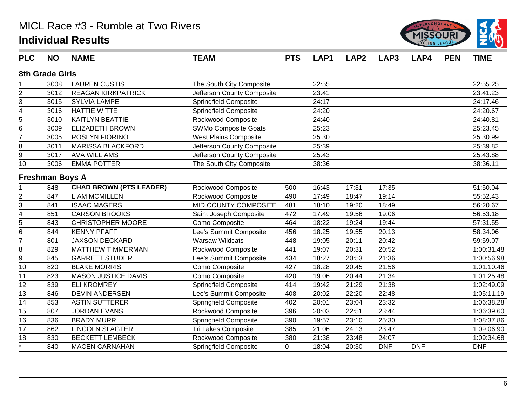

| <b>PLC</b>      | <b>NO</b>              | <b>NAME</b>                    | <b>TEAM</b>                  | <b>PTS</b> | LAP1  | LAP <sub>2</sub> | LAP3       | LAP4       | <b>PEN</b> | <b>TIME</b> |
|-----------------|------------------------|--------------------------------|------------------------------|------------|-------|------------------|------------|------------|------------|-------------|
|                 | 8th Grade Girls        |                                |                              |            |       |                  |            |            |            |             |
|                 | 3008                   | <b>LAUREN CUSTIS</b>           | The South City Composite     |            | 22:55 |                  |            |            |            | 22:55.25    |
| $\overline{c}$  | 3012                   | <b>REAGAN KIRKPATRICK</b>      | Jefferson County Composite   |            | 23:41 |                  |            |            |            | 23:41.23    |
| 3               | 3015                   | <b>SYLVIA LAMPE</b>            | Springfield Composite        |            | 24:17 |                  |            |            |            | 24:17.46    |
| 4               | 3016                   | <b>HATTIE WITTE</b>            | Springfield Composite        |            | 24:20 |                  |            |            |            | 24:20.67    |
| 5               | 3010                   | <b>KAITLYN BEATTIE</b>         | Rockwood Composite           |            | 24:40 |                  |            |            |            | 24:40.81    |
| 6               | 3009                   | <b>ELIZABETH BROWN</b>         | <b>SWMo Composite Goats</b>  |            | 25:23 |                  |            |            |            | 25:23.45    |
| $\overline{7}$  | 3005                   | <b>ROSLYN FIORINO</b>          | <b>West Plains Composite</b> |            | 25:30 |                  |            |            |            | 25:30.99    |
| 8               | 3011                   | <b>MARISSA BLACKFORD</b>       | Jefferson County Composite   |            | 25:39 |                  |            |            |            | 25:39.82    |
| 9               | 3017                   | <b>AVA WILLIAMS</b>            | Jefferson County Composite   |            | 25:43 |                  |            |            |            | 25:43.88    |
| 10              | 3006                   | <b>EMMA POTTER</b>             | The South City Composite     |            | 38:36 |                  |            |            |            | 38:36.11    |
|                 | <b>Freshman Boys A</b> |                                |                              |            |       |                  |            |            |            |             |
|                 | 848                    | <b>CHAD BROWN (PTS LEADER)</b> | Rockwood Composite           | 500        | 16:43 | 17:31            | 17:35      |            |            | 51:50.04    |
| $\overline{2}$  | 847                    | <b>LIAM MCMILLEN</b>           | Rockwood Composite           | 490        | 17:49 | 18:47            | 19:14      |            |            | 55:52.43    |
| 3               | 841                    | <b>ISAAC MAGERS</b>            | <b>MID COUNTY COMPOSITE</b>  | 481        | 18:10 | 19:20            | 18:49      |            |            | 56:20.67    |
| 4               | 851                    | <b>CARSON BROOKS</b>           | Saint Joseph Composite       | 472        | 17:49 | 19:56            | 19:06      |            |            | 56:53.18    |
| 5               | 843                    | <b>CHRISTOPHER MOORE</b>       | Como Composite               | 464        | 18:22 | 19:24            | 19:44      |            |            | 57:31.55    |
| 6               | 844                    | <b>KENNY PFAFF</b>             | Lee's Summit Composite       | 456        | 18:25 | 19:55            | 20:13      |            |            | 58:34.06    |
| 7               | 801                    | <b>JAXSON DECKARD</b>          | <b>Warsaw Wildcats</b>       | 448        | 19:05 | 20:11            | 20:42      |            |            | 59:59.07    |
| 8               | 829                    | <b>MATTHEW TIMMERMAN</b>       | Rockwood Composite           | 441        | 19:07 | 20:31            | 20:52      |            |            | 1:00:31.48  |
| 9               | 845                    | <b>GARRETT STUDER</b>          | Lee's Summit Composite       | 434        | 18:27 | 20:53            | 21:36      |            |            | 1:00:56.98  |
| 10              | 820                    | <b>BLAKE MORRIS</b>            | Como Composite               | 427        | 18:28 | 20:45            | 21:56      |            |            | 1:01:10.46  |
| 11              | 823                    | <b>MASON JUSTICE DAVIS</b>     | Como Composite               | 420        | 19:06 | 20:44            | 21:34      |            |            | 1:01:25.48  |
| 12              | 839                    | <b>ELI KROMREY</b>             | <b>Springfield Composite</b> | 414        | 19:42 | 21:29            | 21:38      |            |            | 1:02:49.09  |
| $\overline{13}$ | 846                    | <b>DEVIN ANDERSEN</b>          | Lee's Summit Composite       | 408        | 20:02 | 22:20            | 22:48      |            |            | 1:05:11.19  |
| $\overline{14}$ | 853                    | <b>ASTIN SUTTERER</b>          | <b>Springfield Composite</b> | 402        | 20:01 | 23:04            | 23:32      |            |            | 1:06:38.28  |
| 15              | 807                    | <b>JORDAN EVANS</b>            | Rockwood Composite           | 396        | 20:03 | 22:51            | 23:44      |            |            | 1:06:39.60  |
| 16              | 836                    | <b>BRADY MURR</b>              | Springfield Composite        | 390        | 19:57 | 23:10            | 25:30      |            |            | 1:08:37.86  |
| 17              | 862                    | <b>LINCOLN SLAGTER</b>         | Tri Lakes Composite          | 385        | 21:06 | 24:13            | 23:47      |            |            | 1:09:06.90  |
| 18              | 830                    | <b>BECKETT LEMBECK</b>         | Rockwood Composite           | 380        | 21:38 | 23:48            | 24:07      |            |            | 1:09:34.68  |
| 7               | 840                    | <b>MACEN CARNAHAN</b>          | <b>Springfield Composite</b> | 0          | 18:04 | 20:30            | <b>DNF</b> | <b>DNF</b> |            | <b>DNF</b>  |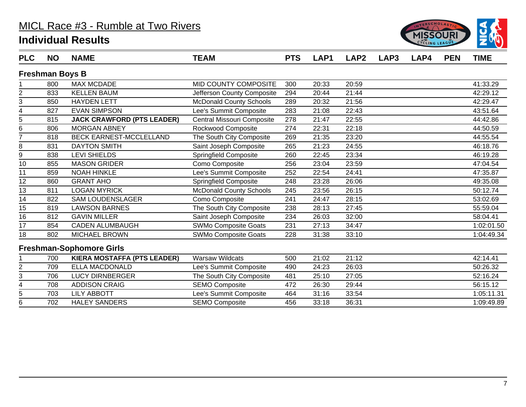

| <b>PLC</b>      | <b>NO</b>              | <b>NAME</b>                        | <b>TEAM</b>                    | <b>PTS</b> | LAP1  | LAP <sub>2</sub> | LAP <sub>3</sub> | LAP4 | <b>PEN</b> | <b>TIME</b> |
|-----------------|------------------------|------------------------------------|--------------------------------|------------|-------|------------------|------------------|------|------------|-------------|
|                 | <b>Freshman Boys B</b> |                                    |                                |            |       |                  |                  |      |            |             |
|                 | 800                    | <b>MAX MCDADE</b>                  | MID COUNTY COMPOSITE           | 300        | 20:33 | 20:59            |                  |      |            | 41:33.29    |
| 2               | 833                    | <b>KELLEN BAUM</b>                 | Jefferson County Composite     | 294        | 20:44 | 21:44            |                  |      |            | 42:29.12    |
| 3               | 850                    | <b>HAYDEN LETT</b>                 | <b>McDonald County Schools</b> | 289        | 20:32 | 21:56            |                  |      |            | 42:29.47    |
| 4               | 827                    | <b>EVAN SIMPSON</b>                | Lee's Summit Composite         | 283        | 21:08 | 22:43            |                  |      |            | 43:51.64    |
| 5               | 815                    | <b>JACK CRAWFORD (PTS LEADER)</b>  | Central Missouri Composite     | 278        | 21:47 | 22:55            |                  |      |            | 44:42.86    |
| 6               | 806                    | <b>MORGAN ABNEY</b>                | Rockwood Composite             | 274        | 22:31 | 22:18            |                  |      |            | 44:50.59    |
| $\overline{7}$  | 818                    | <b>BECK EARNEST-MCCLELLAND</b>     | The South City Composite       | 269        | 21:35 | 23:20            |                  |      |            | 44:55.54    |
| 8               | 831                    | <b>DAYTON SMITH</b>                | Saint Joseph Composite         | 265        | 21:23 | 24:55            |                  |      |            | 46:18.76    |
| 9               | 838                    | <b>LEVI SHIELDS</b>                | Springfield Composite          | 260        | 22:45 | 23:34            |                  |      |            | 46:19.28    |
| 10              | 855                    | <b>MASON GRIDER</b>                | Como Composite                 | 256        | 23:04 | 23:59            |                  |      |            | 47:04.54    |
| 11              | 859                    | <b>NOAH HINKLE</b>                 | Lee's Summit Composite         | 252        | 22:54 | 24:41            |                  |      |            | 47:35.87    |
| 12              | 860                    | <b>GRANT AHO</b>                   | Springfield Composite          | 248        | 23:28 | 26:06            |                  |      |            | 49:35.08    |
| $\overline{13}$ | 811                    | <b>LOGAN MYRICK</b>                | <b>McDonald County Schools</b> | 245        | 23:56 | 26:15            |                  |      |            | 50:12.74    |
| 14              | 822                    | <b>SAM LOUDENSLAGER</b>            | Como Composite                 | 241        | 24:47 | 28:15            |                  |      |            | 53:02.69    |
| 15              | 819                    | <b>LAWSON BARNES</b>               | The South City Composite       | 238        | 28:13 | 27:45            |                  |      |            | 55:59.04    |
| 16              | 812                    | <b>GAVIN MILLER</b>                | Saint Joseph Composite         | 234        | 26:03 | 32:00            |                  |      |            | 58:04.41    |
| 17              | 854                    | <b>CADEN ALUMBAUGH</b>             | SWMo Composite Goats           | 231        | 27:13 | 34:47            |                  |      |            | 1:02:01.50  |
| 18              | 802                    | <b>MICHAEL BROWN</b>               | SWMo Composite Goats           | 228        | 31:38 | 33:10            |                  |      |            | 1:04:49.34  |
|                 |                        | <b>Freshman-Sophomore Girls</b>    |                                |            |       |                  |                  |      |            |             |
|                 | 700                    | <b>KIERA MOSTAFFA (PTS LEADER)</b> | <b>Warsaw Wildcats</b>         | 500        | 21:02 | 21:12            |                  |      |            | 42:14.41    |
| $\mathbf 2$     | 709                    | <b>ELLA MACDONALD</b>              | Lee's Summit Composite         | 490        | 24:23 | 26:03            |                  |      |            | 50:26.32    |
| 3               | 706                    | <b>LUCY DIRNBERGER</b>             | The South City Composite       | 481        | 25:10 | 27:05            |                  |      |            | 52:16.24    |
| 4               | 708                    | <b>ADDISON CRAIG</b>               | <b>SEMO Composite</b>          | 472        | 26:30 | 29:44            |                  |      |            | 56:15.12    |
| 5               | 703                    | <b>LILY ABBOTT</b>                 | Lee's Summit Composite         | 464        | 31:16 | 33:54            |                  |      |            | 1:05:11.31  |
| 6               | 702                    | <b>HALEY SANDERS</b>               | <b>SEMO Composite</b>          | 456        | 33:18 | 36:31            |                  |      |            | 1:09:49.89  |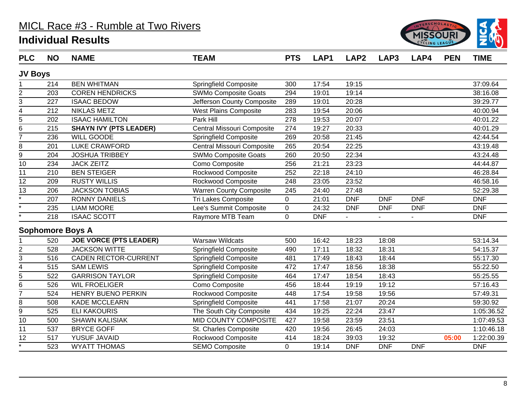

| <b>PLC</b>              | <b>NO</b> | <b>NAME</b>                   | <b>TEAM</b>                  | <b>PTS</b>       | LAP1       | LAP <sub>2</sub> | LAP3       | LAP4       | <b>PEN</b> | <b>TIME</b> |
|-------------------------|-----------|-------------------------------|------------------------------|------------------|------------|------------------|------------|------------|------------|-------------|
| <b>JV Boys</b>          |           |                               |                              |                  |            |                  |            |            |            |             |
|                         | 214       | <b>BEN WHITMAN</b>            | Springfield Composite        | 300              | 17:54      | 19:15            |            |            |            | 37:09.64    |
| $\overline{2}$          | 203       | <b>COREN HENDRICKS</b>        | <b>SWMo Composite Goats</b>  | 294              | 19:01      | 19:14            |            |            |            | 38:16.08    |
| 3                       | 227       | <b>ISAAC BEDOW</b>            | Jefferson County Composite   | 289              | 19:01      | 20:28            |            |            |            | 39:29.77    |
| $\overline{\mathbf{4}}$ | 212       | <b>NIKLAS METZ</b>            | <b>West Plains Composite</b> | 283              | 19:54      | 20:06            |            |            |            | 40:00.94    |
| 5                       | 202       | <b>ISAAC HAMILTON</b>         | Park Hill                    | 278              | 19:53      | 20:07            |            |            |            | 40:01.22    |
| $\overline{6}$          | 215       | <b>SHAYN IVY (PTS LEADER)</b> | Central Missouri Composite   | 274              | 19:27      | 20:33            |            |            |            | 40:01.29    |
| $\overline{7}$          | 236       | <b>WILL GOODE</b>             | <b>Springfield Composite</b> | 269              | 20:58      | 21:45            |            |            |            | 42:44.54    |
| 8                       | 201       | <b>LUKE CRAWFORD</b>          | Central Missouri Composite   | 265              | 20:54      | 22:25            |            |            |            | 43:19.48    |
| $\overline{9}$          | 204       | <b>JOSHUA TRIBBEY</b>         | <b>SWMo Composite Goats</b>  | 260              | 20:50      | 22:34            |            |            |            | 43:24.48    |
| 10                      | 234       | <b>JACK ZEITZ</b>             | Como Composite               | 256              | 21:21      | 23:23            |            |            |            | 44:44.87    |
| $\overline{11}$         | 210       | <b>BEN STEIGER</b>            | <b>Rockwood Composite</b>    | 252              | 22:18      | 24:10            |            |            |            | 46:28.84    |
| 12                      | 209       | <b>RUSTY WILLIS</b>           | Rockwood Composite           | 248              | 23:05      | 23:52            |            |            |            | 46:58.16    |
| $\overline{13}$         | 206       | <b>JACKSON TOBIAS</b>         | Warren County Composite      | 245              | 24:40      | 27:48            |            |            |            | 52:29.38    |
| $\star$                 | 207       | <b>RONNY DANIELS</b>          | Tri Lakes Composite          | $\overline{0}$   | 21:01      | <b>DNF</b>       | <b>DNF</b> | <b>DNF</b> |            | <b>DNF</b>  |
| $\star$                 | 235       | <b>LIAM MOORE</b>             | Lee's Summit Composite       | $\boldsymbol{0}$ | 24:32      | <b>DNF</b>       | <b>DNF</b> | <b>DNF</b> |            | <b>DNF</b>  |
| $\star$                 | 218       | <b>ISAAC SCOTT</b>            | Raymore MTB Team             | $\overline{0}$   | <b>DNF</b> |                  |            |            |            | <b>DNF</b>  |
|                         |           | <b>Sophomore Boys A</b>       |                              |                  |            |                  |            |            |            |             |
|                         | 520       | <b>JOE VORCE (PTS LEADER)</b> | <b>Warsaw Wildcats</b>       | 500              | 16:42      | 18:23            | 18:08      |            |            | 53:14.34    |
| $\overline{2}$          | 528       | <b>JACKSON WITTE</b>          | Springfield Composite        | 490              | 17:11      | 18:32            | 18:31      |            |            | 54:15.37    |
| 3                       | 516       | CADEN RECTOR-CURRENT          | <b>Springfield Composite</b> | 481              | 17:49      | 18:43            | 18:44      |            |            | 55:17.30    |
| $\overline{4}$          | 515       | <b>SAM LEWIS</b>              | <b>Springfield Composite</b> | 472              | 17:47      | 18:56            | 18:38      |            |            | 55:22.50    |
| $\overline{5}$          | 522       | <b>GARRISON TAYLOR</b>        | <b>Springfield Composite</b> | 464              | 17:47      | 18:54            | 18:43      |            |            | 55:25.55    |
| $\overline{6}$          | 526       | <b>WIL FROELIGER</b>          | Como Composite               | 456              | 18:44      | 19:19            | 19:12      |            |            | 57:16.43    |
| $\overline{7}$          | 524       | HENRY BUENO PERKIN            | Rockwood Composite           | 448              | 17:54      | 19:58            | 19:56      |            |            | 57:49.31    |
| 8                       | 508       | <b>KADE MCCLEARN</b>          | Springfield Composite        | 441              | 17:58      | 21:07            | 20:24      |            |            | 59:30.92    |
| 9                       | 525       | <b>ELI KAKOURIS</b>           | The South City Composite     | 434              | 19:25      | 22:24            | 23:47      |            |            | 1:05:36.52  |
| 10                      | 500       | <b>SHAWN KALISIAK</b>         | MID COUNTY COMPOSITE         | 427              | 19:58      | 23:59            | 23:51      |            |            | 1:07:49.53  |
| 11                      | 537       | <b>BRYCE GOFF</b>             | St. Charles Composite        | 420              | 19:56      | 26:45            | 24:03      |            |            | 1:10:46.18  |
| 12                      | 517       | YUSUF JAVAID                  | Rockwood Composite           | 414              | 18:24      | 39:03            | 19:32      |            | 05:00      | 1:22:00.39  |
| —<br>*                  | 523       | <b>WYATT THOMAS</b>           | <b>SEMO Composite</b>        | $\mathbf 0$      | 19:14      | <b>DNF</b>       | <b>DNF</b> | <b>DNF</b> |            | <b>DNF</b>  |